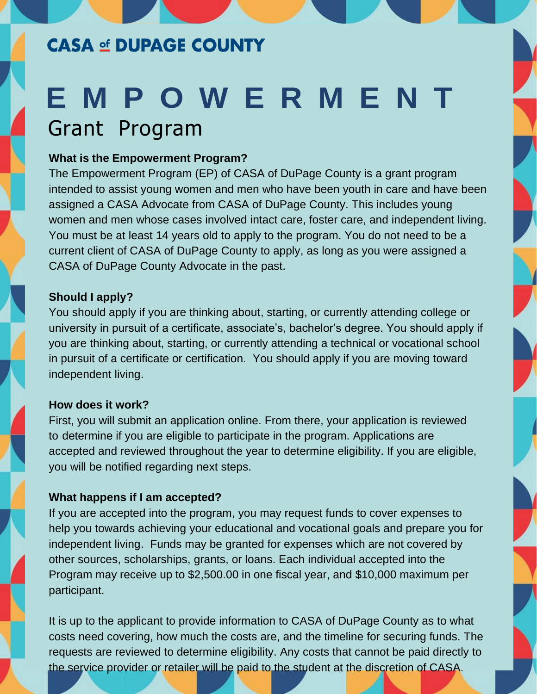## **CASA of DUPAGE COUNTY**

# **E M P O W E R M E N T** Grant Program

#### **What is the Empowerment Program?**

The Empowerment Program (EP) of CASA of DuPage County is a grant program intended to assist young women and men who have been youth in care and have been assigned a CASA Advocate from CASA of DuPage County. This includes young women and men whose cases involved intact care, foster care, and independent living. You must be at least 14 years old to apply to the program. You do not need to be a current client of CASA of DuPage County to apply, as long as you were assigned a CASA of DuPage County Advocate in the past.

## **Should I apply?**

You should apply if you are thinking about, starting, or currently attending college or university in pursuit of a certificate, associate's, bachelor's degree. You should apply if you are thinking about, starting, or currently attending a technical or vocational school in pursuit of a certificate or certification. You should apply if you are moving toward independent living.

### **How does it work?**

First, you will submit an application online. From there, your application is reviewed to determine if you are eligible to participate in the program. Applications are accepted and reviewed throughout the year to determine eligibility. If you are eligible, you will be notified regarding next steps.

### **What happens if I am accepted?**

If you are accepted into the program, you may request funds to cover expenses to help you towards achieving your educational and vocational goals and prepare you for independent living. Funds may be granted for expenses which are not covered by other sources, scholarships, grants, or loans. Each individual accepted into the Program may receive up to \$2,500.00 in one fiscal year, and \$10,000 maximum per participant.

It is up to the applicant to provide information to CASA of DuPage County as to what costs need covering, how much the costs are, and the timeline for securing funds. The requests are reviewed to determine eligibility. Any costs that cannot be paid directly to the service provider or retailer will be paid to the student at the discretion of CASA.